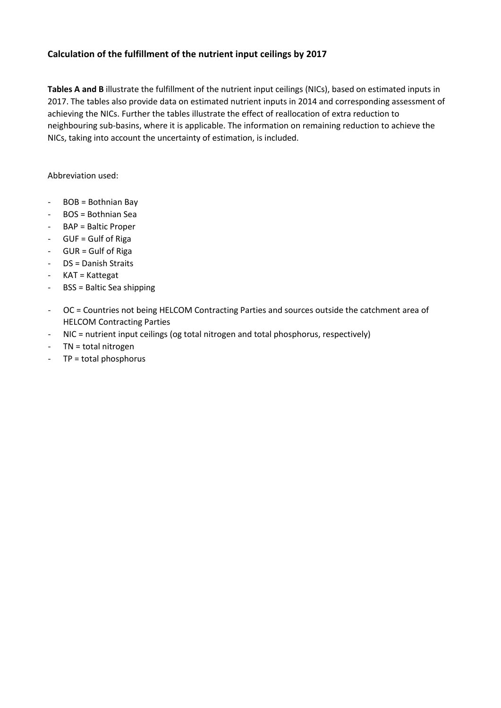## **Calculation of the fulfillment of the nutrient input ceilings by 2017**

**Tables A and B** illustrate the fulfillment of the nutrient input ceilings (NICs), based on estimated inputs in 2017. The tables also provide data on estimated nutrient inputs in 2014 and corresponding assessment of achieving the NICs. Further the tables illustrate the effect of reallocation of extra reduction to neighbouring sub-basins, where it is applicable. The information on remaining reduction to achieve the NICs, taking into account the uncertainty of estimation, is included.

Abbreviation used:

- BOB = Bothnian Bay
- BOS = Bothnian Sea
- BAP = Baltic Proper
- GUF = Gulf of Riga
- GUR = Gulf of Riga
- DS = Danish Straits
- KAT = Kattegat
- BSS = Baltic Sea [sh](#page-0-0)ipping
- OC = Countries not being HELCOM Contracting Parties and sources outside the catchment area of HELCOM Contracting Parties
- NIC = nutrient input ceilings (og total nitrogen and total phosphorus, respectively)
- TN = total nitrogen
- <span id="page-0-0"></span>- TP = total phosphorus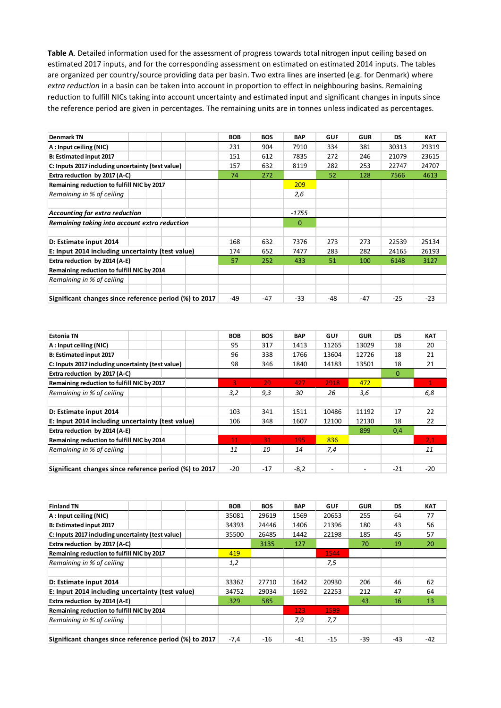**Table A**. Detailed information used for the assessment of progress towards total nitrogen input ceiling based on estimated 2017 inputs, and for the corresponding assessment on estimated on estimated 2014 inputs. [The tables](https://helcom.fi/baltic-sea-action-plan/nutrient-reduction-scheme/progress-towards-country-wise-allocated-reduction-targets/key-message/)  [are or](https://helcom.fi/baltic-sea-action-plan/nutrient-reduction-scheme/progress-towards-country-wise-allocated-reduction-targets/key-message/)ganized per country/source providing data per basin. Two extra lines are inserted (e.g. for Denmark) where *extra reduction* in a basin can be taken into account in proportion to effect in neighbouring basins. Remaining reduction to fulfill NICs taking into account uncertainty and estimated input and significant changes in inputs since the reference period are given in percentages. The remaining units are in tonnes unless indicated as percentages.

| <b>Denmark TN</b>                                      | <b>BOB</b> | <b>BOS</b> | <b>BAP</b> | <b>GUF</b> | <b>GUR</b> | <b>DS</b> | <b>KAT</b> |
|--------------------------------------------------------|------------|------------|------------|------------|------------|-----------|------------|
| A: Input ceiling (NIC)                                 | 231        | 904        | 7910       | 334        | 381        | 30313     | 29319      |
| B: Estimated input 2017                                | 151        | 612        | 7835       | 272        | 246        | 21079     | 23615      |
| C: Inputs 2017 including uncertainty (test value)      | 157        | 632        | 8119       | 282        | 253        | 22747     | 24707      |
| Extra reduction by 2017 (A-C)                          | 74         | 272        |            | 52         | 128        | 7566      | 4613       |
| Remaining reduction to fulfill NIC by 2017             |            |            | 209        |            |            |           |            |
| Remaining in % of ceiling                              |            |            | 2,6        |            |            |           |            |
|                                                        |            |            |            |            |            |           |            |
| Accounting for extra reduction                         |            |            | $-1755$    |            |            |           |            |
| Remaining taking into account extra reduction          |            |            | $\Omega$   |            |            |           |            |
|                                                        |            |            |            |            |            |           |            |
| D: Estimate input 2014                                 | 168        | 632        | 7376       | 273        | 273        | 22539     | 25134      |
| E: Input 2014 including uncertainty (test value)       | 174        | 652        | 7477       | 283        | 282        | 24165     | 26193      |
| Extra reduction by 2014 (A-E)                          | 57         | 252        | 433        | 51         | 100        | 6148      | 3127       |
| Remaining reduction to fulfill NIC by 2014             |            |            |            |            |            |           |            |
| Remaining in % of ceiling                              |            |            |            |            |            |           |            |
|                                                        |            |            |            |            |            |           |            |
| Significant changes since reference period (%) to 2017 | -49        | $-47$      | $-33$      | -48        | $-47$      | $-25$     | $-23$      |

| <b>Estonia TN</b>                                      | <b>BOB</b> | <b>BOS</b> | <b>BAP</b> | <b>GUF</b> | <b>GUR</b> | <b>DS</b> | <b>KAT</b> |
|--------------------------------------------------------|------------|------------|------------|------------|------------|-----------|------------|
| $A:$ Input ceiling (NIC)                               | 95         | 317        | 1413       | 11265      | 13029      | 18        | 20         |
| <b>B: Estimated input 2017</b>                         | 96         | 338        | 1766       | 13604      | 12726      | 18        | 21         |
| C: Inputs 2017 including uncertainty (test value)      | 98         | 346        | 1840       | 14183      | 13501      | 18        | 21         |
| Extra reduction by 2017 (A-C)                          |            |            |            |            |            | $\Omega$  |            |
| Remaining reduction to fulfill NIC by 2017             | 3          | 29         | 427        | 2918       | 472        |           |            |
| Remaining in % of ceiling                              | 3,2        | 9,3        | 30         | 26         | 3,6        |           | 6,8        |
|                                                        |            |            |            |            |            |           |            |
| D: Estimate input 2014                                 | 103        | 341        | 1511       | 10486      | 11192      | 17        | 22         |
| E: Input 2014 including uncertainty (test value)       | 106        | 348        | 1607       | 12100      | 12130      | 18        | 22         |
| Extra reduction by 2014 (A-E)                          |            |            |            |            | 899        | 0,4       |            |
| Remaining reduction to fulfill NIC by 2014             | 11         | 31         | 195        | 836        |            |           | 2,1        |
| Remaining in % of ceiling                              | 11         | 10         | 14         | 7,4        |            |           | 11         |
|                                                        |            |            |            |            |            |           |            |
| Significant changes since reference period (%) to 2017 | $-20$      | $-17$      | $-8,2$     |            |            | $-21$     | $-20$      |

| <b>Finland TN</b>                                      | <b>BOB</b> | <b>BOS</b> | <b>BAP</b> | <b>GUF</b> | <b>GUR</b> | <b>DS</b> | <b>KAT</b> |
|--------------------------------------------------------|------------|------------|------------|------------|------------|-----------|------------|
| A: Input ceiling (NIC)                                 | 35081      | 29619      | 1569       | 20653      | 255        | 64        | 77         |
| B: Estimated input 2017                                | 34393      | 24446      | 1406       | 21396      | 180        | 43        | 56         |
| C: Inputs 2017 including uncertainty (test value)      | 35500      | 26485      | 1442       | 22198      | 185        | 45        | 57         |
| Extra reduction by 2017 (A-C)                          |            | 3135       | 127        |            | 70         | 19        | 20         |
| Remaining reduction to fulfill NIC by 2017             | 419        |            |            | 1544       |            |           |            |
| Remaining in % of ceiling                              | 1,2        |            |            | 7,5        |            |           |            |
| D: Estimate input 2014                                 | 33362      | 27710      | 1642       | 20930      | 206        | 46        | 62         |
| E: Input 2014 including uncertainty (test value)       | 34752      | 29034      | 1692       | 22253      | 212        | 47        | 64         |
| Extra reduction by 2014 (A-E)                          | 329        | 585        |            |            | 43         | 16        | 13         |
| Remaining reduction to fulfill NIC by 2014             |            |            | 123        | 1599       |            |           |            |
| Remaining in % of ceiling                              |            |            | 7,9        | 7,7        |            |           |            |
| Significant changes since reference period (%) to 2017 | $-7,4$     | $-16$      | $-41$      | $-15$      | $-39$      | $-43$     | $-42$      |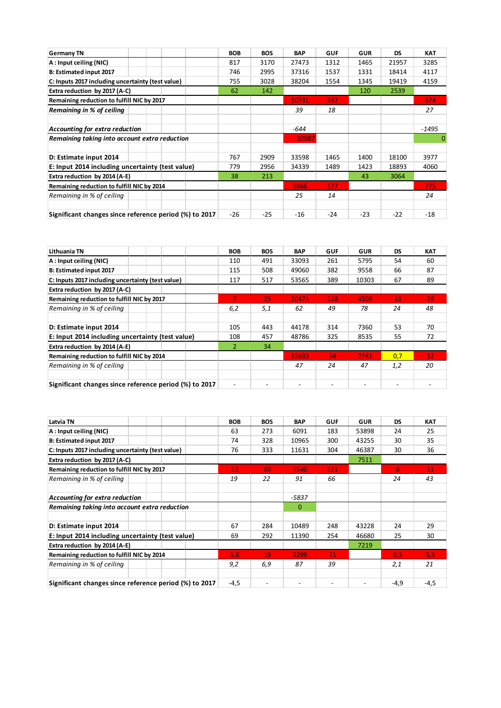| <b>Germany TN</b>                                      | <b>BOB</b> | <b>BOS</b> | <b>BAP</b> | <b>GUF</b> | <b>GUR</b> | <b>DS</b> | <b>KAT</b> |
|--------------------------------------------------------|------------|------------|------------|------------|------------|-----------|------------|
| A: Input ceiling (NIC)                                 | 817        | 3170       | 27473      | 1312       | 1465       | 21957     | 3285       |
| <b>B: Estimated input 2017</b>                         | 746        | 2995       | 37316      | 1537       | 1331       | 18414     | 4117       |
| C: Inputs 2017 including uncertainty (test value)      | 755        | 3028       | 38204      | 1554       | 1345       | 19419     | 4159       |
| Extra reduction by 2017 (A-C)                          | 62         | 142        |            |            | 120        | 2539      |            |
| Remaining reduction to fulfill NIC by 2017             |            |            | 10731      | 242        |            |           | 874        |
| Remaining in % of ceiling                              |            |            | 39         | 18         |            |           | 27         |
|                                                        |            |            |            |            |            |           |            |
| Accounting for extra reduction                         |            |            | -644       |            |            |           | $-1495$    |
| Remaining taking into account extra reduction          |            |            | 10087      |            |            |           |            |
| D: Estimate input 2014                                 | 767        | 2909       | 33598      | 1465       | 1400       | 18100     | 3977       |
| E: Input 2014 including uncertainty (test value)       | 779        | 2956       | 34339      | 1489       | 1423       | 18893     | 4060       |
| Extra reduction by 2014 (A-E)                          | 38         | 213        |            |            | 43         | 3064      |            |
| Remaining reduction to fulfill NIC by 2014             |            |            | 6866       | 177        |            |           | 775        |
| Remaining in % of ceiling                              |            |            | 25         | 14         |            |           | 24         |
| Significant changes since reference period (%) to 2017 | $-26$      | $-25$      | $-16$      | $-24$      | $-23$      | $-22$     | $-18$      |

| Lithuania TN                                           | <b>BOB</b>     | <b>BOS</b> | <b>BAP</b> | <b>GUF</b> | <b>GUR</b> | DS                       | <b>KAT</b> |
|--------------------------------------------------------|----------------|------------|------------|------------|------------|--------------------------|------------|
| A: Input ceiling (NIC)                                 | 110            | 491        | 33093      | 261        | 5795       | 54                       | 60         |
| B: Estimated input 2017                                | 115            | 508        | 49060      | 382        | 9558       | 66                       | 87         |
| C: Inputs 2017 including uncertainty (test value)      | 117            | 517        | 53565      | 389        | 10303      | 67                       | 89         |
| Extra reduction by 2017 (A-C)                          |                |            |            |            |            |                          |            |
| Remaining reduction to fulfill NIC by 2017             |                | 25         | 20471      | 128        | 4509       | 13                       | 29         |
| Remaining in % of ceiling                              | 6,2            | 5,1        | 62         | 49         | 78         | 24                       | 48         |
|                                                        |                |            |            |            |            |                          |            |
| D: Estimate input 2014                                 | 105            | 443        | 44178      | 314        | 7360       | 53                       | 70         |
| E: Input 2014 including uncertainty (test value)       | 108            | 457        | 48786      | 325        | 8535       | 55                       | 72         |
| Extra reduction by 2014 (A-E)                          | $\mathcal{P}$  | 34         |            |            |            |                          |            |
| Remaining reduction to fulfill NIC by 2014             |                |            | 15693      | 64         | 2741       | 0,7                      | 12         |
| Remaining in % of ceiling                              |                |            | 47         | 24         | 47         | 1,2                      | 20         |
|                                                        |                |            |            |            |            |                          |            |
| Significant changes since reference period (%) to 2017 | $\blacksquare$ |            |            |            |            | $\overline{\phantom{a}}$ |            |

| <b>Latvia TN</b>                                       | <b>BOB</b>      | <b>BOS</b> | <b>BAP</b>   | <b>GUF</b>               | <b>GUR</b> | DS     | <b>KAT</b> |
|--------------------------------------------------------|-----------------|------------|--------------|--------------------------|------------|--------|------------|
| A: Input ceiling (NIC)                                 | 63              | 273        | 6091         | 183                      | 53898      | 24     | 25         |
| B: Estimated input 2017                                | 74              | 328        | 10965        | 300                      | 43255      | 30     | 35         |
| C: Inputs 2017 including uncertainty (test value)      | 76              | 333        | 11631        | 304                      | 46387      | 30     | 36         |
| Extra reduction by 2017 (A-C)                          |                 |            |              |                          | 7511       |        |            |
| Remaining reduction to fulfill NIC by 2017             | 12 <sub>1</sub> | 60         | 5540         | 121                      |            | 6      | 11         |
| Remaining in % of ceiling                              | 19              | 22         | 91           | 66                       |            | 24     | 43         |
|                                                        |                 |            |              |                          |            |        |            |
| Accounting for extra reduction                         |                 |            | $-5837$      |                          |            |        |            |
| Remaining taking into account extra reduction          |                 |            | $\mathbf{0}$ |                          |            |        |            |
| D: Estimate input 2014                                 | 67              | 284        | 10489        | 248                      | 43228      | 24     | 29         |
| E: Input 2014 including uncertainty (test value)       | 69              | 292        | 11390        | 254                      | 46680      | 25     | 30         |
| Extra reduction by 2014 (A-E)                          |                 |            |              |                          | 7219       |        |            |
| Remaining reduction to fulfill NIC by 2014             | 5.8             | 19         | 5299         | 71                       |            | 0,5    | 5,3        |
| Remaining in % of ceiling                              | 9,2             | 6,9        | 87           | 39                       |            | 2,1    | 21         |
|                                                        |                 |            |              |                          |            |        |            |
| Significant changes since reference period (%) to 2017 | $-4,5$          |            |              | $\overline{\phantom{a}}$ |            | $-4,9$ | $-4,5$     |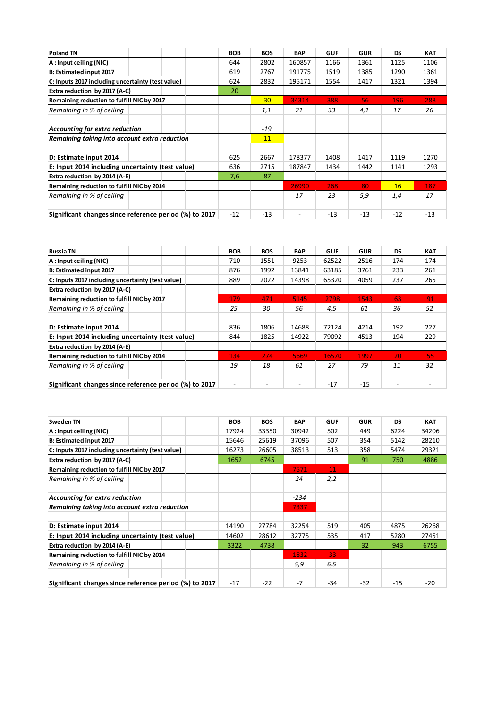| <b>Poland TN</b>                                       | <b>BOB</b> | <b>BOS</b>      | <b>BAP</b> | <b>GUF</b> | <b>GUR</b> | DS    | <b>KAT</b> |
|--------------------------------------------------------|------------|-----------------|------------|------------|------------|-------|------------|
| A: Input ceiling (NIC)                                 | 644        | 2802            | 160857     | 1166       | 1361       | 1125  | 1106       |
| <b>B: Estimated input 2017</b>                         | 619        | 2767            | 191775     | 1519       | 1385       | 1290  | 1361       |
| C: Inputs 2017 including uncertainty (test value)      | 624        | 2832            | 195171     | 1554       | 1417       | 1321  | 1394       |
| Extra reduction by 2017 (A-C)                          | 20         |                 |            |            |            |       |            |
| Remaining reduction to fulfill NIC by 2017             |            | 30 <sup>°</sup> | 34314      | 388        | 56         | 196   | 288        |
| Remaining in % of ceiling                              |            | 1,1             | 21         | 33         | 4,1        | 17    | 26         |
| Accounting for extra reduction                         |            | $-19$           |            |            |            |       |            |
| Remaining taking into account extra reduction          |            | 11              |            |            |            |       |            |
| D: Estimate input 2014                                 | 625        | 2667            | 178377     | 1408       | 1417       | 1119  | 1270       |
| E: Input 2014 including uncertainty (test value)       | 636        | 2715            | 187847     | 1434       | 1442       | 1141  | 1293       |
| Extra reduction by 2014 (A-E)                          | 7,6        | 87              |            |            |            |       |            |
| Remaining reduction to fulfill NIC by 2014             |            |                 | 26990      | 268        | 80         | 16    | 187        |
| Remaining in % of ceiling                              |            |                 | 17         | 23         | 5,9        | 1,4   | 17         |
| Significant changes since reference period (%) to 2017 | $-12$      | $-13$           | ٠          | $-13$      | $-13$      | $-12$ | $-13$      |

| <b>Russia TN</b>                                       | <b>BOB</b>               | <b>BOS</b> | <b>BAP</b> | <b>GUF</b> | <b>GUR</b> | DS                       | <b>KAT</b> |
|--------------------------------------------------------|--------------------------|------------|------------|------------|------------|--------------------------|------------|
| A: Input ceiling (NIC)                                 | 710                      | 1551       | 9253       | 62522      | 2516       | 174                      | 174        |
| <b>B: Estimated input 2017</b>                         | 876                      | 1992       | 13841      | 63185      | 3761       | 233                      | 261        |
| C: Inputs 2017 including uncertainty (test value)      | 889                      | 2022       | 14398      | 65320      | 4059       | 237                      | 265        |
| Extra reduction by 2017 (A-C)                          |                          |            |            |            |            |                          |            |
| Remaining reduction to fulfill NIC by 2017             | 179                      | 471        | 5145.      | 2798       | 1543       | 63                       | 91         |
| Remaining in % of ceiling                              | 25                       | 30         | 56         | 4,5        | 61         | 36                       | 52         |
|                                                        |                          |            |            |            |            |                          |            |
| D: Estimate input 2014                                 | 836                      | 1806       | 14688      | 72124      | 4214       | 192                      | 227        |
| E: Input 2014 including uncertainty (test value)       | 844                      | 1825       | 14922      | 79092      | 4513       | 194                      | 229        |
| Extra reduction by 2014 (A-E)                          |                          |            |            |            |            |                          |            |
| Remaining reduction to fulfill NIC by 2014             | 134                      | 274        | 5669       | 16570      | 1997       | 20                       | 55.        |
| Remaining in % of ceiling                              | 19                       | 18         | 61         | 27         | 79         | 11                       | 32         |
| Significant changes since reference period (%) to 2017 | $\overline{\phantom{a}}$ |            |            | $-17$      | $-15$      | $\overline{\phantom{a}}$ |            |

| <b>Sweden TN</b>                                       | <b>BOB</b> | <b>BOS</b> | <b>BAP</b> | <b>GUF</b> | <b>GUR</b> | <b>DS</b> | <b>KAT</b> |
|--------------------------------------------------------|------------|------------|------------|------------|------------|-----------|------------|
| A: Input ceiling (NIC)                                 | 17924      | 33350      | 30942      | 502        | 449        | 6224      | 34206      |
| <b>B: Estimated input 2017</b>                         | 15646      | 25619      | 37096      | 507        | 354        | 5142      | 28210      |
| C: Inputs 2017 including uncertainty (test value)      | 16273      | 26605      | 38513      | 513        | 358        | 5474      | 29321      |
| Extra reduction by 2017 (A-C)                          | 1652       | 6745       |            |            | 91         | 750       | 4886       |
| Remaining reduction to fulfill NIC by 2017             |            |            | 7571       | 11         |            |           |            |
| Remaining in % of ceiling                              |            |            | 24         | 2,2        |            |           |            |
| Accounting for extra reduction                         |            |            | $-234$     |            |            |           |            |
| Remaining taking into account extra reduction          |            |            | 7337       |            |            |           |            |
| D: Estimate input 2014                                 | 14190      | 27784      | 32254      | 519        | 405        | 4875      | 26268      |
| E: Input 2014 including uncertainty (test value)       | 14602      | 28612      | 32775      | 535        | 417        | 5280      | 27451      |
| Extra reduction by 2014 (A-E)                          | 3322       | 4738       |            |            | 32         | 943       | 6755       |
| Remaining reduction to fulfill NIC by 2014             |            |            | 1832       | 33         |            |           |            |
| Remaining in % of ceiling                              |            |            | 5,9        | 6,5        |            |           |            |
| Significant changes since reference period (%) to 2017 | $-17$      | $-22$      | $-7$       | -34        | $-32$      | $-15$     | $-20$      |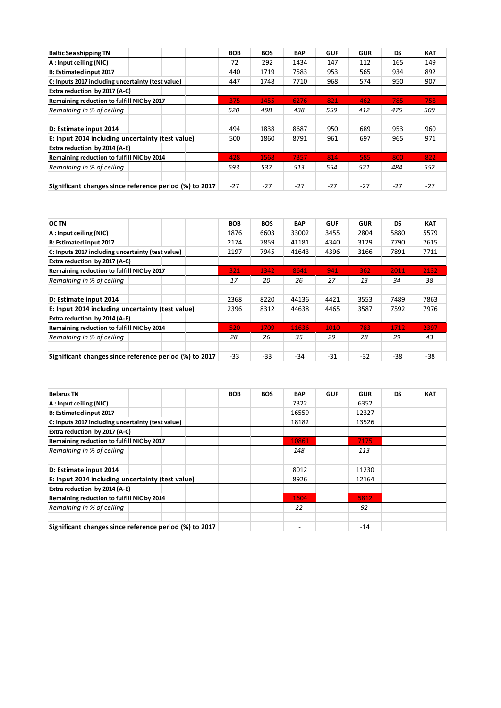| <b>Baltic Sea shipping TN</b>                          | <b>BOB</b> | <b>BOS</b> | <b>BAP</b> | <b>GUF</b> | <b>GUR</b> | DS    | <b>KAT</b> |
|--------------------------------------------------------|------------|------------|------------|------------|------------|-------|------------|
| $A:$ Input ceiling (NIC)                               | 72         | 292        | 1434       | 147        | 112        | 165   | 149        |
| B: Estimated input 2017                                | 440        | 1719       | 7583       | 953        | 565        | 934   | 892        |
| C: Inputs 2017 including uncertainty (test value)      | 447        | 1748       | 7710       | 968        | 574        | 950   | 907        |
| Extra reduction by 2017 (A-C)                          |            |            |            |            |            |       |            |
| Remaining reduction to fulfill NIC by 2017             | 375        | 1455       | 6276       | 821        | 462        | 785   | 758        |
| Remaining in % of ceiling                              | 520        | 498        | 438        | 559        | 412        | 475   | 509        |
|                                                        |            |            |            |            |            |       |            |
| D: Estimate input 2014                                 | 494        | 1838       | 8687       | 950        | 689        | 953   | 960        |
| E: Input 2014 including uncertainty (test value)       | 500        | 1860       | 8791       | 961        | 697        | 965   | 971        |
| Extra reduction by 2014 (A-E)                          |            |            |            |            |            |       |            |
| Remaining reduction to fulfill NIC by 2014             | 428        | 1568       | 7357       | 814        | 585        | 800   | 822        |
| Remaining in % of ceiling                              | 593        | 537        | 513        | 554        | 521        | 484   | 552        |
|                                                        |            |            |            |            |            |       |            |
| Significant changes since reference period (%) to 2017 | $-27$      | $-27$      | $-27$      | $-27$      | $-27$      | $-27$ | $-27$      |

| <b>OC TN</b>                                           | <b>BOB</b> | <b>BOS</b> | <b>BAP</b> | <b>GUF</b> | <b>GUR</b> | <b>DS</b> | <b>KAT</b> |
|--------------------------------------------------------|------------|------------|------------|------------|------------|-----------|------------|
| A: Input ceiling (NIC)                                 | 1876       | 6603       | 33002      | 3455       | 2804       | 5880      | 5579       |
| <b>B: Estimated input 2017</b>                         | 2174       | 7859       | 41181      | 4340       | 3129       | 7790      | 7615       |
| C: Inputs 2017 including uncertainty (test value)      | 2197       | 7945       | 41643      | 4396       | 3166       | 7891      | 7711       |
| Extra reduction by 2017 (A-C)                          |            |            |            |            |            |           |            |
| Remaining reduction to fulfill NIC by 2017             | 321        | 1342       | 8641       | 941        | 362        | 2011      | 2132       |
| Remaining in % of ceiling                              | 17         | 20         | 26         | 27         | 13         | 34        | 38         |
|                                                        |            |            |            |            |            |           |            |
| D: Estimate input 2014                                 | 2368       | 8220       | 44136      | 4421       | 3553       | 7489      | 7863       |
| E: Input 2014 including uncertainty (test value)       | 2396       | 8312       | 44638      | 4465       | 3587       | 7592      | 7976       |
| Extra reduction by 2014 (A-E)                          |            |            |            |            |            |           |            |
| Remaining reduction to fulfill NIC by 2014             | 520        | 1709       | 11636      | 1010       | 783        | 1712      | 2397       |
| Remaining in % of ceiling                              | 28         | 26         | 35         | 29         | 28         | 29        | 43         |
|                                                        |            |            |            |            |            |           |            |
| Significant changes since reference period (%) to 2017 | -33        | $-33$      | $-34$      | $-31$      | $-32$      | $-38$     | $-38$      |

| <b>Belarus TN</b>                                      | <b>BOB</b> | <b>BOS</b> | <b>BAP</b> | <b>GUF</b> | <b>GUR</b> | <b>DS</b> | <b>KAT</b> |
|--------------------------------------------------------|------------|------------|------------|------------|------------|-----------|------------|
| A: Input ceiling (NIC)                                 |            |            | 7322       |            | 6352       |           |            |
| B: Estimated input 2017                                |            |            | 16559      |            | 12327      |           |            |
| C: Inputs 2017 including uncertainty (test value)      |            |            | 18182      |            | 13526      |           |            |
| Extra reduction by 2017 (A-C)                          |            |            |            |            |            |           |            |
| Remaining reduction to fulfill NIC by 2017             |            |            | 10861      |            | 7175       |           |            |
| Remaining in % of ceiling                              |            |            | 148        |            | 113        |           |            |
| D: Estimate input 2014                                 |            |            | 8012       |            | 11230      |           |            |
| E: Input 2014 including uncertainty (test value)       |            |            | 8926       |            | 12164      |           |            |
| Extra reduction by 2014 (A-E)                          |            |            |            |            |            |           |            |
| Remaining reduction to fulfill NIC by 2014             |            |            | 1604       |            | 5812       |           |            |
| Remaining in % of ceiling                              |            |            | 22         |            | 92         |           |            |
| Significant changes since reference period (%) to 2017 |            |            |            |            | $-14$      |           |            |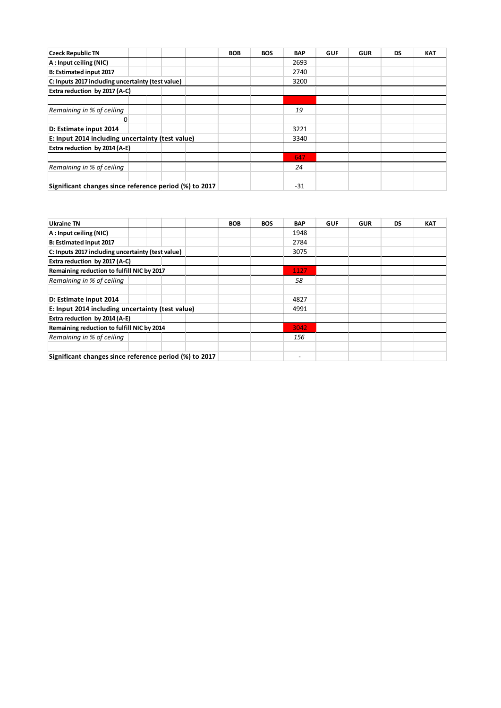| <b>Czeck Republic TN</b>                               |  | <b>BOB</b> | <b>BOS</b> | <b>BAP</b> | <b>GUF</b> | <b>GUR</b> | <b>DS</b> | <b>KAT</b> |
|--------------------------------------------------------|--|------------|------------|------------|------------|------------|-----------|------------|
| A: Input ceiling (NIC)                                 |  |            |            | 2693       |            |            |           |            |
| <b>B: Estimated input 2017</b>                         |  |            |            | 2740       |            |            |           |            |
| C: Inputs 2017 including uncertainty (test value)      |  |            |            | 3200       |            |            |           |            |
| Extra reduction by 2017 (A-C)                          |  |            |            |            |            |            |           |            |
|                                                        |  |            |            |            |            |            |           |            |
| Remaining in % of ceiling                              |  |            |            | 19         |            |            |           |            |
| 0                                                      |  |            |            |            |            |            |           |            |
| D: Estimate input 2014                                 |  |            |            | 3221       |            |            |           |            |
| E: Input 2014 including uncertainty (test value)       |  |            |            | 3340       |            |            |           |            |
| Extra reduction by 2014 (A-E)                          |  |            |            |            |            |            |           |            |
|                                                        |  |            |            | 647        |            |            |           |            |
| Remaining in % of ceiling                              |  |            |            | 24         |            |            |           |            |
|                                                        |  |            |            |            |            |            |           |            |
| Significant changes since reference period (%) to 2017 |  |            |            | $-31$      |            |            |           |            |

| Ukraine TN                                             | <b>BOB</b> | <b>BOS</b> | <b>BAP</b> | <b>GUF</b> | <b>GUR</b> | <b>DS</b> | <b>KAT</b> |
|--------------------------------------------------------|------------|------------|------------|------------|------------|-----------|------------|
| A: Input ceiling (NIC)                                 |            |            | 1948       |            |            |           |            |
| B: Estimated input 2017                                |            |            | 2784       |            |            |           |            |
| C: Inputs 2017 including uncertainty (test value)      |            |            | 3075       |            |            |           |            |
| Extra reduction by 2017 (A-C)                          |            |            |            |            |            |           |            |
| Remaining reduction to fulfill NIC by 2017             |            |            | 1127       |            |            |           |            |
| Remaining in % of ceiling                              |            |            | 58         |            |            |           |            |
| D: Estimate input 2014                                 |            |            | 4827       |            |            |           |            |
| E: Input 2014 including uncertainty (test value)       |            |            | 4991       |            |            |           |            |
| Extra reduction by 2014 (A-E)                          |            |            |            |            |            |           |            |
| Remaining reduction to fulfill NIC by 2014             |            |            | 3042       |            |            |           |            |
| Remaining in % of ceiling                              |            |            | 156        |            |            |           |            |
|                                                        |            |            |            |            |            |           |            |
| Significant changes since reference period (%) to 2017 |            |            |            |            |            |           |            |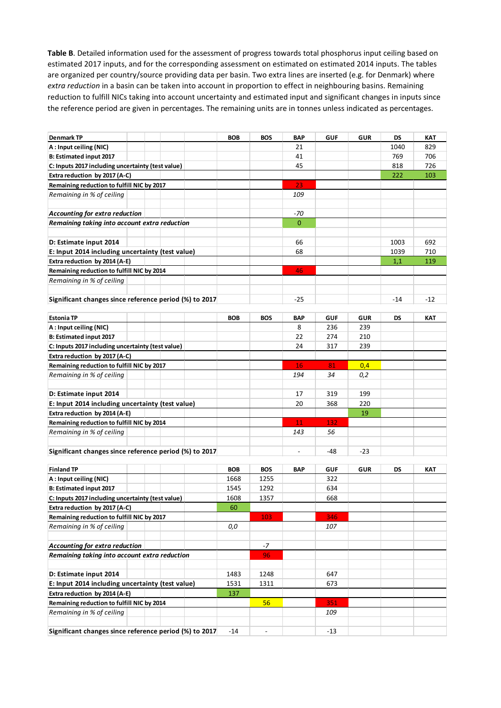**Table B**. Detailed information used for the assessment of progress towards total phosphorus input ceiling based on estimated 2017 inputs, and for the corresponding assessment on estimated on estimated 2014 inputs. [The tables](https://helcom.fi/baltic-sea-action-plan/nutrient-reduction-scheme/progress-towards-country-wise-allocated-reduction-targets/key-message/)  [are or](https://helcom.fi/baltic-sea-action-plan/nutrient-reduction-scheme/progress-towards-country-wise-allocated-reduction-targets/key-message/)ganized per country/source providing data per basin. Two extra lines are inserted (e.g. for Denmark) where *extra reduction* in a basin can be taken into account in proportion to effect in neighbouring basins. Remaining reduction to fulfill NICs taking into account uncertainty and estimated input and significant changes in inputs since the reference period are given in percentages. The remaining units are in tonnes unless indicated as percentages.

| A: Input ceiling (NIC)<br>21<br>1040<br>41<br>B: Estimated input 2017<br>769<br>45<br>818<br>C: Inputs 2017 including uncertainty (test value)<br>Extra reduction by 2017 (A-C)<br>222<br>Remaining reduction to fulfill NIC by 2017<br>23<br>Remaining in % of ceiling<br>109 | 829<br>706<br>726 |
|--------------------------------------------------------------------------------------------------------------------------------------------------------------------------------------------------------------------------------------------------------------------------------|-------------------|
|                                                                                                                                                                                                                                                                                |                   |
|                                                                                                                                                                                                                                                                                |                   |
|                                                                                                                                                                                                                                                                                |                   |
|                                                                                                                                                                                                                                                                                | 103               |
|                                                                                                                                                                                                                                                                                |                   |
|                                                                                                                                                                                                                                                                                |                   |
|                                                                                                                                                                                                                                                                                |                   |
| Accounting for extra reduction<br>-70                                                                                                                                                                                                                                          |                   |
| 0<br>Remaining taking into account extra reduction                                                                                                                                                                                                                             |                   |
|                                                                                                                                                                                                                                                                                |                   |
| 66<br>1003<br>D: Estimate input 2014                                                                                                                                                                                                                                           | 692               |
| E: Input 2014 including uncertainty (test value)<br>68<br>1039                                                                                                                                                                                                                 | 710               |
| Extra reduction by 2014 (A-E)<br>1,1                                                                                                                                                                                                                                           | 119               |
| Remaining reduction to fulfill NIC by 2014<br>46                                                                                                                                                                                                                               |                   |
| Remaining in % of ceiling                                                                                                                                                                                                                                                      |                   |
|                                                                                                                                                                                                                                                                                |                   |
| Significant changes since reference period (%) to 2017<br>$-25$<br>$-14$                                                                                                                                                                                                       | -12               |
|                                                                                                                                                                                                                                                                                |                   |
| <b>Estonia TP</b><br><b>BOB</b><br><b>GUF</b><br><b>GUR</b><br><b>BOS</b><br>BAP<br>DS                                                                                                                                                                                         | КАТ               |
| 8<br>236<br>239<br>A: Input ceiling (NIC)                                                                                                                                                                                                                                      |                   |
| 22<br>274<br>210<br>B: Estimated input 2017                                                                                                                                                                                                                                    |                   |
| 24<br>317<br>239<br>C: Inputs 2017 including uncertainty (test value)                                                                                                                                                                                                          |                   |
| Extra reduction by 2017 (A-C)                                                                                                                                                                                                                                                  |                   |
| Remaining reduction to fulfill NIC by 2017<br>16<br>81<br>0,4                                                                                                                                                                                                                  |                   |
| 0,2<br>Remaining in % of ceiling<br>194<br>34                                                                                                                                                                                                                                  |                   |
|                                                                                                                                                                                                                                                                                |                   |
| 319<br>199<br>D: Estimate input 2014<br>17                                                                                                                                                                                                                                     |                   |
| 20<br>220<br>E: Input 2014 including uncertainty (test value)<br>368                                                                                                                                                                                                           |                   |
| Extra reduction by 2014 (A-E)<br>19                                                                                                                                                                                                                                            |                   |
| Remaining reduction to fulfill NIC by 2014<br>11<br>132                                                                                                                                                                                                                        |                   |
| Remaining in % of ceiling<br>143<br>56                                                                                                                                                                                                                                         |                   |
|                                                                                                                                                                                                                                                                                |                   |
| Significant changes since reference period (%) to 2017<br>$-23$<br>-48<br>$\overline{\phantom{a}}$                                                                                                                                                                             |                   |
|                                                                                                                                                                                                                                                                                |                   |
| <b>Finland TP</b><br><b>BOB</b><br><b>BOS</b><br><b>GUF</b><br><b>GUR</b><br>DS<br>BAP                                                                                                                                                                                         | KAT               |
| 1255<br>322<br>A: Input ceiling (NIC)<br>1668                                                                                                                                                                                                                                  |                   |
| 1545<br>1292<br>634<br>B: Estimated input 2017                                                                                                                                                                                                                                 |                   |
| C: Inputs 2017 including uncertainty (test value)<br>1608<br>1357<br>668                                                                                                                                                                                                       |                   |
| Extra reduction by 2017 (A-C)<br>60                                                                                                                                                                                                                                            |                   |
| Remaining reduction to fulfill NIC by 2017<br>103<br>346                                                                                                                                                                                                                       |                   |
| Remaining in % of ceiling<br>0,0<br>107                                                                                                                                                                                                                                        |                   |
|                                                                                                                                                                                                                                                                                |                   |
| Accounting for extra reduction<br>-7                                                                                                                                                                                                                                           |                   |
| 96<br>Remaining taking into account extra reduction                                                                                                                                                                                                                            |                   |
|                                                                                                                                                                                                                                                                                |                   |
| D: Estimate input 2014<br>1483<br>1248<br>647                                                                                                                                                                                                                                  |                   |
| E: Input 2014 including uncertainty (test value)<br>1531<br>1311<br>673                                                                                                                                                                                                        |                   |
| Extra reduction by 2014 (A-E)<br>137                                                                                                                                                                                                                                           |                   |
| Remaining reduction to fulfill NIC by 2014<br>56<br>351                                                                                                                                                                                                                        |                   |
| Remaining in % of ceiling<br>109                                                                                                                                                                                                                                               |                   |
|                                                                                                                                                                                                                                                                                |                   |
|                                                                                                                                                                                                                                                                                |                   |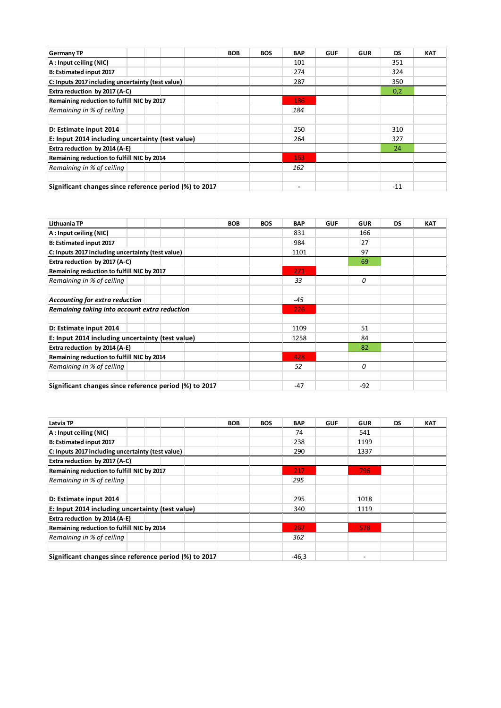| <b>Germany TP</b>                                      | <b>BOB</b> | <b>BOS</b> | <b>BAP</b> | <b>GUF</b> | <b>GUR</b> | <b>DS</b> | <b>KAT</b> |
|--------------------------------------------------------|------------|------------|------------|------------|------------|-----------|------------|
| A: Input ceiling (NIC)                                 |            |            | 101        |            |            | 351       |            |
| <b>B: Estimated input 2017</b>                         |            |            | 274        |            |            | 324       |            |
| C: Inputs 2017 including uncertainty (test value)      |            |            | 287        |            |            | 350       |            |
| Extra reduction by 2017 (A-C)                          |            |            |            |            |            | 0,2       |            |
| Remaining reduction to fulfill NIC by 2017             |            |            | 186        |            |            |           |            |
| Remaining in % of ceiling                              |            |            | 184        |            |            |           |            |
| D: Estimate input 2014                                 |            |            | 250        |            |            | 310       |            |
| E: Input 2014 including uncertainty (test value)       |            |            | 264        |            |            | 327       |            |
| Extra reduction by 2014 (A-E)                          |            |            |            |            |            | 24        |            |
| Remaining reduction to fulfill NIC by 2014             |            |            | 163        |            |            |           |            |
| Remaining in % of ceiling                              |            |            | 162        |            |            |           |            |
|                                                        |            |            |            |            |            |           |            |
| Significant changes since reference period (%) to 2017 |            |            |            |            |            | $-11$     |            |

| Lithuania TP                                           | <b>BOB</b> | <b>BOS</b> | <b>BAP</b> | <b>GUF</b> | <b>GUR</b> | <b>DS</b> | <b>KAT</b> |
|--------------------------------------------------------|------------|------------|------------|------------|------------|-----------|------------|
| A: Input ceiling (NIC)                                 |            |            | 831        |            | 166        |           |            |
| B: Estimated input 2017                                |            |            | 984        |            | 27         |           |            |
| C: Inputs 2017 including uncertainty (test value)      |            |            | 1101       |            | 97         |           |            |
| Extra reduction by 2017 (A-C)                          |            |            |            |            | 69         |           |            |
| Remaining reduction to fulfill NIC by 2017             |            |            | 271        |            |            |           |            |
| Remaining in % of ceiling                              |            |            | 33         |            | 0          |           |            |
| Accounting for extra reduction                         |            |            | $-45$      |            |            |           |            |
| Remaining taking into account extra reduction          |            |            | 226        |            |            |           |            |
| D: Estimate input 2014                                 |            |            | 1109       |            | 51         |           |            |
| E: Input 2014 including uncertainty (test value)       |            |            | 1258       |            | 84         |           |            |
| Extra reduction by 2014 (A-E)                          |            |            |            |            | 82         |           |            |
| Remaining reduction to fulfill NIC by 2014             |            |            | 428        |            |            |           |            |
| Remaining in % of ceiling                              |            |            | 52         |            | 0          |           |            |
|                                                        |            |            |            |            |            |           |            |
| Significant changes since reference period (%) to 2017 |            |            | $-47$      |            | $-92$      |           |            |

| Latvia TP                                              | <b>BOB</b> | <b>BOS</b> | <b>BAP</b> | <b>GUF</b> | <b>GUR</b> | DS | <b>KAT</b> |
|--------------------------------------------------------|------------|------------|------------|------------|------------|----|------------|
| A: Input ceiling (NIC)                                 |            |            | 74         |            | 541        |    |            |
| <b>B: Estimated input 2017</b>                         |            |            | 238        |            | 1199       |    |            |
| C: Inputs 2017 including uncertainty (test value)      |            |            | 290        |            | 1337       |    |            |
| Extra reduction by 2017 (A-C)                          |            |            |            |            |            |    |            |
| Remaining reduction to fulfill NIC by 2017             |            |            | 217        |            | 796        |    |            |
| Remaining in % of ceiling                              |            |            | 295        |            |            |    |            |
|                                                        |            |            |            |            |            |    |            |
| D: Estimate input 2014                                 |            |            | 295        |            | 1018       |    |            |
| E: Input 2014 including uncertainty (test value)       |            |            | 340        |            | 1119       |    |            |
| Extra reduction by 2014 (A-E)                          |            |            |            |            |            |    |            |
| Remaining reduction to fulfill NIC by 2014             |            |            | 267        |            | 578        |    |            |
| Remaining in % of ceiling                              |            |            | 362        |            |            |    |            |
|                                                        |            |            |            |            |            |    |            |
| Significant changes since reference period (%) to 2017 |            |            | $-46,3$    |            | ۰          |    |            |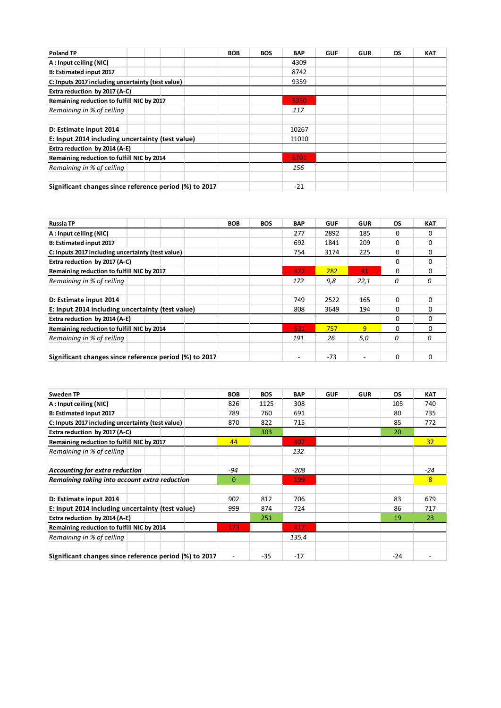| <b>Poland TP</b>                                       | <b>BOB</b> | <b>BOS</b> | <b>BAP</b> | <b>GUF</b> | <b>GUR</b> | <b>DS</b> | <b>KAT</b> |
|--------------------------------------------------------|------------|------------|------------|------------|------------|-----------|------------|
| A: Input ceiling (NIC)                                 |            |            | 4309       |            |            |           |            |
| <b>B: Estimated input 2017</b>                         |            |            | 8742       |            |            |           |            |
| C: Inputs 2017 including uncertainty (test value)      |            |            | 9359       |            |            |           |            |
| Extra reduction by 2017 (A-C)                          |            |            |            |            |            |           |            |
| Remaining reduction to fulfill NIC by 2017             |            |            | 5050       |            |            |           |            |
| Remaining in % of ceiling                              |            |            | 117        |            |            |           |            |
| D: Estimate input 2014                                 |            |            | 10267      |            |            |           |            |
| E: Input 2014 including uncertainty (test value)       |            |            | 11010      |            |            |           |            |
| Extra reduction by 2014 (A-E)                          |            |            |            |            |            |           |            |
| Remaining reduction to fulfill NIC by 2014             |            |            | 6701       |            |            |           |            |
| Remaining in % of ceiling                              |            |            | 156        |            |            |           |            |
|                                                        |            |            |            |            |            |           |            |
| Significant changes since reference period (%) to 2017 |            |            | $-21$      |            |            |           |            |

| <b>Russia TP</b>                                       | <b>BOB</b> | <b>BOS</b> | <b>BAP</b> | <b>GUF</b> | <b>GUR</b> | DS       | <b>KAT</b> |
|--------------------------------------------------------|------------|------------|------------|------------|------------|----------|------------|
| A: Input ceiling (NIC)                                 |            |            | 277        | 2892       | 185        | $\Omega$ | $\Omega$   |
| <b>B: Estimated input 2017</b>                         |            |            | 692        | 1841       | 209        | 0        | 0          |
| C: Inputs 2017 including uncertainty (test value)      |            |            | 754        | 3174       | 225        | $\Omega$ | 0          |
| Extra reduction by 2017 (A-C)                          |            |            |            |            |            | $\Omega$ | 0          |
| Remaining reduction to fulfill NIC by 2017             |            |            | 477        | 282        | 41         | 0        | 0          |
| Remaining in % of ceiling                              |            |            | 172        | 9,8        | 22,1       | 0        | 0          |
| D: Estimate input 2014                                 |            |            | 749        | 2522       | 165        | $\Omega$ | $\Omega$   |
| E: Input 2014 including uncertainty (test value)       |            |            | 808        | 3649       | 194        | 0        | 0          |
| Extra reduction by 2014 (A-E)                          |            |            |            |            |            | $\Omega$ | $\Omega$   |
| Remaining reduction to fulfill NIC by 2014             |            |            | 531        | 757        | 9          | $\Omega$ | 0          |
| Remaining in % of ceiling                              |            |            | 191        | 26         | 5,0        | 0        | O          |
| Significant changes since reference period (%) to 2017 |            |            |            | $-73$      |            | $\Omega$ | 0          |

| <b>Sweden TP</b>                                       | <b>BOB</b>     | <b>BOS</b> | <b>BAP</b> | <b>GUF</b> | <b>GUR</b> | DS    | <b>KAT</b>      |
|--------------------------------------------------------|----------------|------------|------------|------------|------------|-------|-----------------|
| A: Input ceiling (NIC)                                 | 826            | 1125       | 308        |            |            | 105   | 740             |
| <b>B: Estimated input 2017</b>                         | 789            | 760        | 691        |            |            | 80    | 735             |
| C: Inputs 2017 including uncertainty (test value)      | 870            | 822        | 715        |            |            | 85    | 772             |
| Extra reduction by 2017 (A-C)                          |                | 303        |            |            |            | 20    |                 |
| Remaining reduction to fulfill NIC by 2017             | 44             |            | 407        |            |            |       | 32 <sub>2</sub> |
| Remaining in % of ceiling                              |                |            | 132        |            |            |       |                 |
| Accounting for extra reduction                         | -94            |            | $-208$     |            |            |       | $-24$           |
| Remaining taking into account extra reduction          | $\mathbf{0}$   |            | 199        |            |            |       | 8 <sup>2</sup>  |
| D: Estimate input 2014                                 | 902            | 812        | 706        |            |            | 83    | 679             |
| E: Input 2014 including uncertainty (test value)       | 999            | 874        | 724        |            |            | 86    | 717             |
| Extra reduction by 2014 (A-E)                          |                | 251        |            |            |            | 19    | 23              |
| Remaining reduction to fulfill NIC by 2014             | 173            |            | 417        |            |            |       |                 |
| Remaining in % of ceiling                              |                |            | 135,4      |            |            |       |                 |
| Significant changes since reference period (%) to 2017 | $\blacksquare$ | $-35$      | $-17$      |            |            | $-24$ |                 |